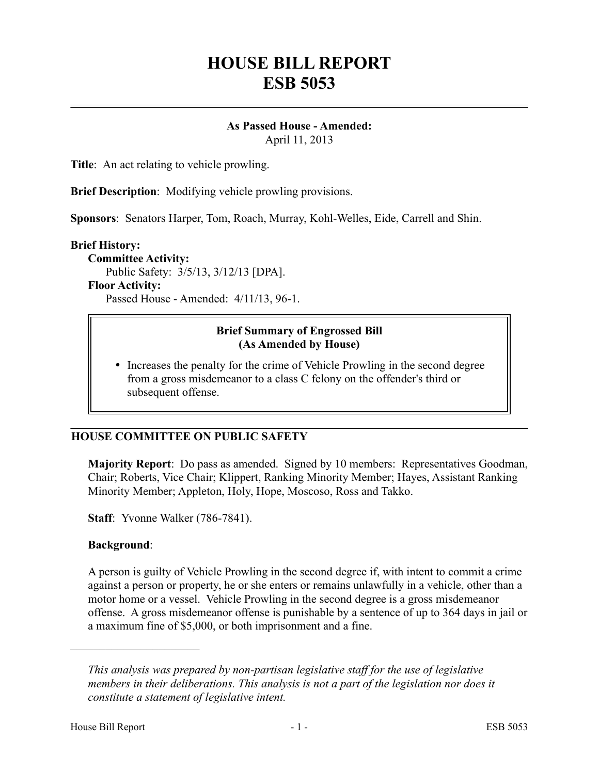# **HOUSE BILL REPORT ESB 5053**

#### **As Passed House - Amended:** April 11, 2013

**Title**: An act relating to vehicle prowling.

**Brief Description**: Modifying vehicle prowling provisions.

**Sponsors**: Senators Harper, Tom, Roach, Murray, Kohl-Welles, Eide, Carrell and Shin.

#### **Brief History:**

**Committee Activity:** Public Safety: 3/5/13, 3/12/13 [DPA].

**Floor Activity:**

Passed House - Amended: 4/11/13, 96-1.

# **Brief Summary of Engrossed Bill (As Amended by House)**

 Increases the penalty for the crime of Vehicle Prowling in the second degree from a gross misdemeanor to a class C felony on the offender's third or subsequent offense.

# **HOUSE COMMITTEE ON PUBLIC SAFETY**

**Majority Report**: Do pass as amended. Signed by 10 members: Representatives Goodman, Chair; Roberts, Vice Chair; Klippert, Ranking Minority Member; Hayes, Assistant Ranking Minority Member; Appleton, Holy, Hope, Moscoso, Ross and Takko.

**Staff**: Yvonne Walker (786-7841).

## **Background**:

––––––––––––––––––––––

A person is guilty of Vehicle Prowling in the second degree if, with intent to commit a crime against a person or property, he or she enters or remains unlawfully in a vehicle, other than a motor home or a vessel. Vehicle Prowling in the second degree is a gross misdemeanor offense. A gross misdemeanor offense is punishable by a sentence of up to 364 days in jail or a maximum fine of \$5,000, or both imprisonment and a fine.

*This analysis was prepared by non-partisan legislative staff for the use of legislative members in their deliberations. This analysis is not a part of the legislation nor does it constitute a statement of legislative intent.*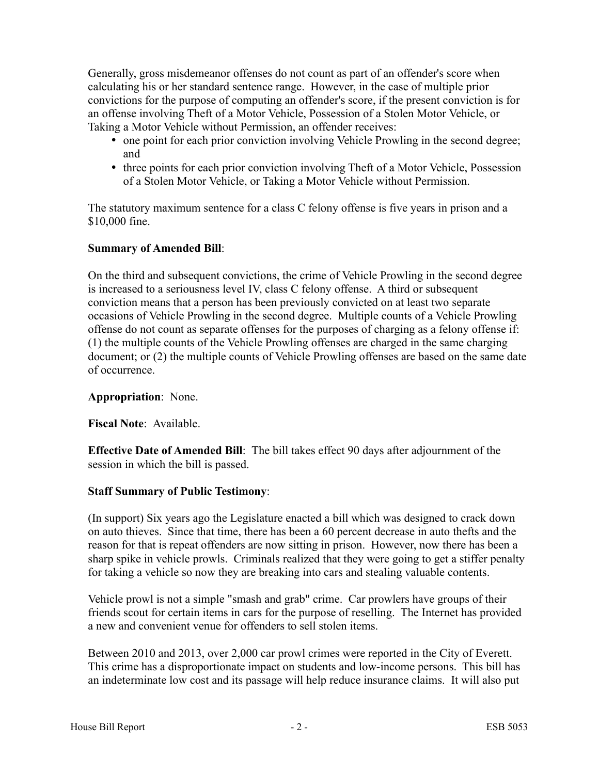Generally, gross misdemeanor offenses do not count as part of an offender's score when calculating his or her standard sentence range. However, in the case of multiple prior convictions for the purpose of computing an offender's score, if the present conviction is for an offense involving Theft of a Motor Vehicle, Possession of a Stolen Motor Vehicle, or Taking a Motor Vehicle without Permission, an offender receives:

- one point for each prior conviction involving Vehicle Prowling in the second degree; and
- three points for each prior conviction involving Theft of a Motor Vehicle, Possession of a Stolen Motor Vehicle, or Taking a Motor Vehicle without Permission.

The statutory maximum sentence for a class C felony offense is five years in prison and a \$10,000 fine.

# **Summary of Amended Bill**:

On the third and subsequent convictions, the crime of Vehicle Prowling in the second degree is increased to a seriousness level IV, class C felony offense. A third or subsequent conviction means that a person has been previously convicted on at least two separate occasions of Vehicle Prowling in the second degree. Multiple counts of a Vehicle Prowling offense do not count as separate offenses for the purposes of charging as a felony offense if: (1) the multiple counts of the Vehicle Prowling offenses are charged in the same charging document; or (2) the multiple counts of Vehicle Prowling offenses are based on the same date of occurrence.

# **Appropriation**: None.

**Fiscal Note**: Available.

**Effective Date of Amended Bill**: The bill takes effect 90 days after adjournment of the session in which the bill is passed.

## **Staff Summary of Public Testimony**:

(In support) Six years ago the Legislature enacted a bill which was designed to crack down on auto thieves. Since that time, there has been a 60 percent decrease in auto thefts and the reason for that is repeat offenders are now sitting in prison. However, now there has been a sharp spike in vehicle prowls. Criminals realized that they were going to get a stiffer penalty for taking a vehicle so now they are breaking into cars and stealing valuable contents.

Vehicle prowl is not a simple "smash and grab" crime. Car prowlers have groups of their friends scout for certain items in cars for the purpose of reselling. The Internet has provided a new and convenient venue for offenders to sell stolen items.

Between 2010 and 2013, over 2,000 car prowl crimes were reported in the City of Everett. This crime has a disproportionate impact on students and low-income persons. This bill has an indeterminate low cost and its passage will help reduce insurance claims. It will also put